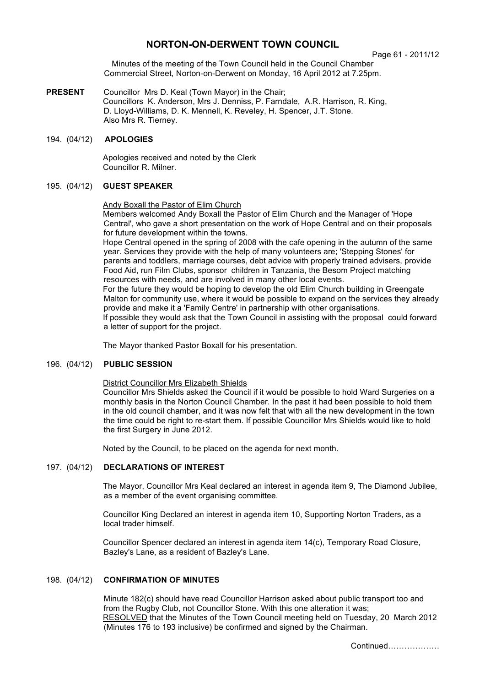# **NORTON-ON-DERWENT TOWN COUNCIL**

Page 61 - 2011/12

Minutes of the meeting of the Town Council held in the Council Chamber Commercial Street, Norton-on-Derwent on Monday, 16 April 2012 at 7.25pm.

**PRESENT** Councillor Mrs D. Keal (Town Mayor) in the Chair; Councillors K. Anderson, Mrs J. Denniss, P. Farndale, A.R. Harrison, R. King, D. Lloyd-Williams, D. K. Mennell, K. Reveley, H. Spencer, J.T. Stone. Also Mrs R. Tierney.

## 194. (04/12) **APOLOGIES**

 Apologies received and noted by the Clerk Councillor R. Milner.

## 195. (04/12) **GUEST SPEAKER**

#### Andy Boxall the Pastor of Elim Church

Members welcomed Andy Boxall the Pastor of Elim Church and the Manager of 'Hope Central', who gave a short presentation on the work of Hope Central and on their proposals for future development within the towns.

Hope Central opened in the spring of 2008 with the cafe opening in the autumn of the same year. Services they provide with the help of many volunteers are; 'Stepping Stones' for parents and toddlers, marriage courses, debt advice with properly trained advisers, provide Food Aid, run Film Clubs, sponsor children in Tanzania, the Besom Project matching resources with needs, and are involved in many other local events.

For the future they would be hoping to develop the old Elim Church building in Greengate Malton for community use, where it would be possible to expand on the services they already provide and make it a 'Family Centre' in partnership with other organisations. If possible they would ask that the Town Council in assisting with the proposal could forward

a letter of support for the project.

The Mayor thanked Pastor Boxall for his presentation.

### 196. (04/12) **PUBLIC SESSION**

#### District Councillor Mrs Elizabeth Shields

Councillor Mrs Shields asked the Council if it would be possible to hold Ward Surgeries on a monthly basis in the Norton Council Chamber. In the past it had been possible to hold them in the old council chamber, and it was now felt that with all the new development in the town the time could be right to re-start them. If possible Councillor Mrs Shields would like to hold the first Surgery in June 2012.

Noted by the Council, to be placed on the agenda for next month.

### 197. (04/12) **DECLARATIONS OF INTEREST**

 The Mayor, Councillor Mrs Keal declared an interest in agenda item 9, The Diamond Jubilee, as a member of the event organising committee.

Councillor King Declared an interest in agenda item 10, Supporting Norton Traders, as a local trader himself.

Councillor Spencer declared an interest in agenda item 14(c), Temporary Road Closure, Bazley's Lane, as a resident of Bazley's Lane.

### 198. (04/12) **CONFIRMATION OF MINUTES**

Minute 182(c) should have read Councillor Harrison asked about public transport too and from the Rugby Club, not Councillor Stone. With this one alteration it was; RESOLVED that the Minutes of the Town Council meeting held on Tuesday, 20 March 2012 (Minutes 176 to 193 inclusive) be confirmed and signed by the Chairman.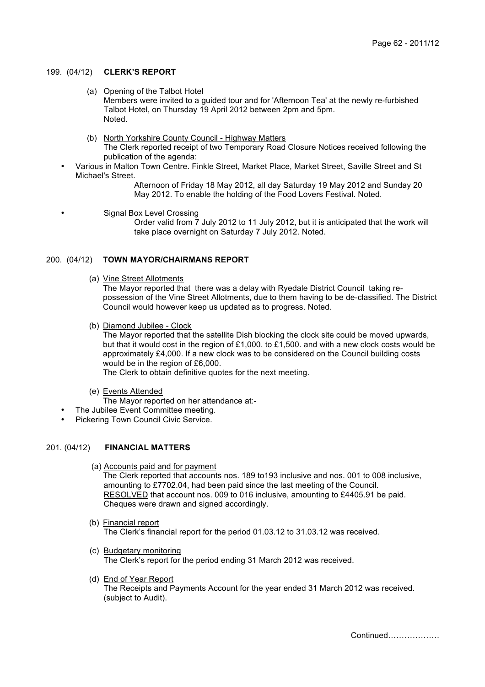#### 199. (04/12) **CLERK'S REPORT**

(a) Opening of the Talbot Hotel

 Members were invited to a guided tour and for 'Afternoon Tea' at the newly re-furbished Talbot Hotel, on Thursday 19 April 2012 between 2pm and 5pm. Noted.

(b) North Yorkshire County Council - Highway Matters

The Clerk reported receipt of two Temporary Road Closure Notices received following the publication of the agenda:

• Various in Malton Town Centre. Finkle Street, Market Place, Market Street, Saville Street and St Michael's Street.

Afternoon of Friday 18 May 2012, all day Saturday 19 May 2012 and Sunday 20 May 2012. To enable the holding of the Food Lovers Festival. Noted.

Signal Box Level Crossing Order valid from 7 July 2012 to 11 July 2012, but it is anticipated that the work will take place overnight on Saturday 7 July 2012. Noted.

### 200. (04/12) **TOWN MAYOR/CHAIRMANS REPORT**

(a) Vine Street Allotments

The Mayor reported that there was a delay with Ryedale District Council taking repossession of the Vine Street Allotments, due to them having to be de-classified. The District Council would however keep us updated as to progress. Noted.

(b) Diamond Jubilee - Clock

The Mayor reported that the satellite Dish blocking the clock site could be moved upwards, but that it would cost in the region of £1,000. to £1,500. and with a new clock costs would be approximately £4,000. If a new clock was to be considered on the Council building costs would be in the region of £6,000.

The Clerk to obtain definitive quotes for the next meeting.

- (e) Events Attended
- The Mayor reported on her attendance at:-
- The Jubilee Event Committee meeting.
- Pickering Town Council Civic Service.

#### 201. (04/12) **FINANCIAL MATTERS**

(a) Accounts paid and for payment

The Clerk reported that accounts nos. 189 to193 inclusive and nos. 001 to 008 inclusive, amounting to £7702.04, had been paid since the last meeting of the Council. RESOLVED that account nos. 009 to 016 inclusive, amounting to £4405.91 be paid. Cheques were drawn and signed accordingly.

- (b) Financial report The Clerk's financial report for the period 01.03.12 to 31.03.12 was received.
- (c) Budgetary monitoring The Clerk's report for the period ending 31 March 2012 was received.
- (d) End of Year Report The Receipts and Payments Account for the year ended 31 March 2012 was received. (subject to Audit).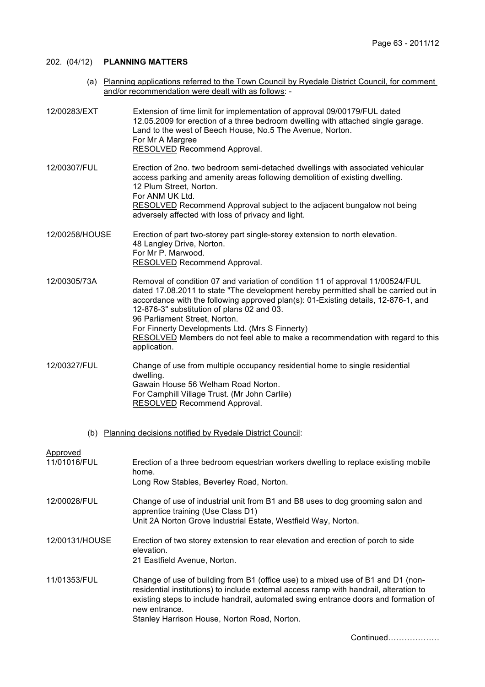## 202. (04/12) **PLANNING MATTERS**

 (a) Planning applications referred to the Town Council by Ryedale District Council, for comment and/or recommendation were dealt with as follows: -

| 12/00283/EXT             | Extension of time limit for implementation of approval 09/00179/FUL dated<br>12.05.2009 for erection of a three bedroom dwelling with attached single garage.<br>Land to the west of Beech House, No.5 The Avenue, Norton.<br>For Mr A Margree<br>RESOLVED Recommend Approval.                                                                                                                                                                                                                  |
|--------------------------|-------------------------------------------------------------------------------------------------------------------------------------------------------------------------------------------------------------------------------------------------------------------------------------------------------------------------------------------------------------------------------------------------------------------------------------------------------------------------------------------------|
| 12/00307/FUL             | Erection of 2no. two bedroom semi-detached dwellings with associated vehicular<br>access parking and amenity areas following demolition of existing dwelling.<br>12 Plum Street, Norton.<br>For ANM UK Ltd.<br><b>RESOLVED</b> Recommend Approval subject to the adjacent bungalow not being<br>adversely affected with loss of privacy and light.                                                                                                                                              |
| 12/00258/HOUSE           | Erection of part two-storey part single-storey extension to north elevation.<br>48 Langley Drive, Norton.<br>For Mr P. Marwood.<br><b>RESOLVED</b> Recommend Approval.                                                                                                                                                                                                                                                                                                                          |
| 12/00305/73A             | Removal of condition 07 and variation of condition 11 of approval 11/00524/FUL<br>dated 17.08.2011 to state "The development hereby permitted shall be carried out in<br>accordance with the following approved plan(s): 01-Existing details, 12-876-1, and<br>12-876-3" substitution of plans 02 and 03.<br>96 Parliament Street, Norton.<br>For Finnerty Developments Ltd. (Mrs S Finnerty)<br>RESOLVED Members do not feel able to make a recommendation with regard to this<br>application. |
| 12/00327/FUL             | Change of use from multiple occupancy residential home to single residential<br>dwelling.<br>Gawain House 56 Welham Road Norton.<br>For Camphill Village Trust. (Mr John Carlile)<br><b>RESOLVED</b> Recommend Approval.                                                                                                                                                                                                                                                                        |
|                          | (b) Planning decisions notified by Ryedale District Council:                                                                                                                                                                                                                                                                                                                                                                                                                                    |
| Approved<br>11/01016/FUL | Erection of a three bedroom equestrian workers dwelling to replace existing mobile<br>home.<br>Long Row Stables, Beverley Road, Norton.                                                                                                                                                                                                                                                                                                                                                         |
| 12/00028/FUL             | Change of use of industrial unit from B1 and B8 uses to dog grooming salon and<br>apprentice training (Use Class D1)<br>Unit 2A Norton Grove Industrial Estate, Westfield Way, Norton.                                                                                                                                                                                                                                                                                                          |
| 12/00131/HOUSE           | Erection of two storey extension to rear elevation and erection of porch to side<br>elevation.<br>21 Eastfield Avenue, Norton.                                                                                                                                                                                                                                                                                                                                                                  |
| 11/01353/FUL             | Change of use of building from B1 (office use) to a mixed use of B1 and D1 (non-<br>residential institutions) to include external access ramp with handrail, alteration to<br>existing steps to include handrail, automated swing entrance doors and formation of<br>new entrance.<br>Stanley Harrison House, Norton Road, Norton.                                                                                                                                                              |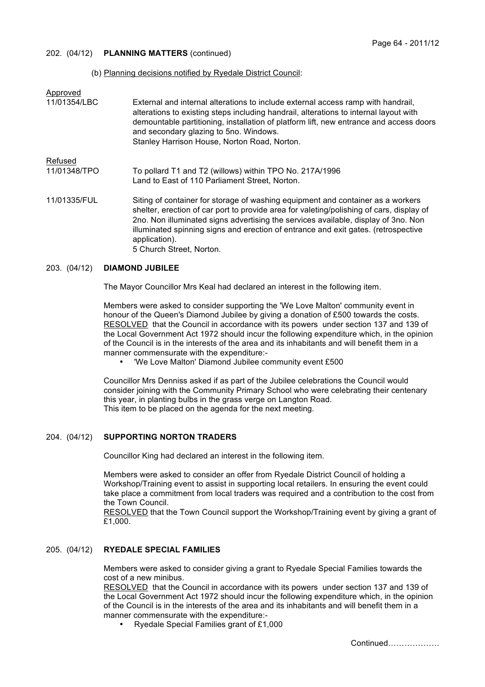### 202. (04/12) **PLANNING MATTERS** (continued)

#### (b) Planning decisions notified by Ryedale District Council:

| Approved<br>11/01354/LBC       | External and internal alterations to include external access ramp with handrail,<br>alterations to existing steps including handrail, alterations to internal layout with<br>demountable partitioning, installation of platform lift, new entrance and access doors<br>and secondary glazing to 5no. Windows.<br>Stanley Harrison House, Norton Road, Norton.                                        |
|--------------------------------|------------------------------------------------------------------------------------------------------------------------------------------------------------------------------------------------------------------------------------------------------------------------------------------------------------------------------------------------------------------------------------------------------|
| <b>Refused</b><br>11/01348/TPO | To pollard T1 and T2 (willows) within TPO No. 217A/1996                                                                                                                                                                                                                                                                                                                                              |
|                                | Land to East of 110 Parliament Street, Norton.                                                                                                                                                                                                                                                                                                                                                       |
| 11/01335/FUL                   | Siting of container for storage of washing equipment and container as a workers<br>shelter, erection of car port to provide area for valeting/polishing of cars, display of<br>2no. Non illuminated signs advertising the services available, display of 3no. Non<br>illuminated spinning signs and erection of entrance and exit gates. (retrospective<br>application).<br>5 Church Street, Norton. |

#### 203. (04/12) **DIAMOND JUBILEE**

The Mayor Councillor Mrs Keal had declared an interest in the following item.

Members were asked to consider supporting the 'We Love Malton' community event in honour of the Queen's Diamond Jubilee by giving a donation of £500 towards the costs. RESOLVED that the Council in accordance with its powers under section 137 and 139 of the Local Government Act 1972 should incur the following expenditure which, in the opinion of the Council is in the interests of the area and its inhabitants and will benefit them in a manner commensurate with the expenditure:-

• 'We Love Malton' Diamond Jubilee community event £500

Councillor Mrs Denniss asked if as part of the Jubilee celebrations the Council would consider joining with the Community Primary School who were celebrating their centenary this year, in planting bulbs in the grass verge on Langton Road. This item to be placed on the agenda for the next meeting.

#### 204. (04/12) **SUPPORTING NORTON TRADERS**

Councillor King had declared an interest in the following item.

Members were asked to consider an offer from Ryedale District Council of holding a Workshop/Training event to assist in supporting local retailers. In ensuring the event could take place a commitment from local traders was required and a contribution to the cost from the Town Council.

RESOLVED that the Town Council support the Workshop/Training event by giving a grant of £1,000.

#### 205. (04/12) **RYEDALE SPECIAL FAMILIES**

Members were asked to consider giving a grant to Ryedale Special Families towards the cost of a new minibus.

RESOLVED that the Council in accordance with its powers under section 137 and 139 of the Local Government Act 1972 should incur the following expenditure which, in the opinion of the Council is in the interests of the area and its inhabitants and will benefit them in a manner commensurate with the expenditure:-

• Ryedale Special Families grant of £1,000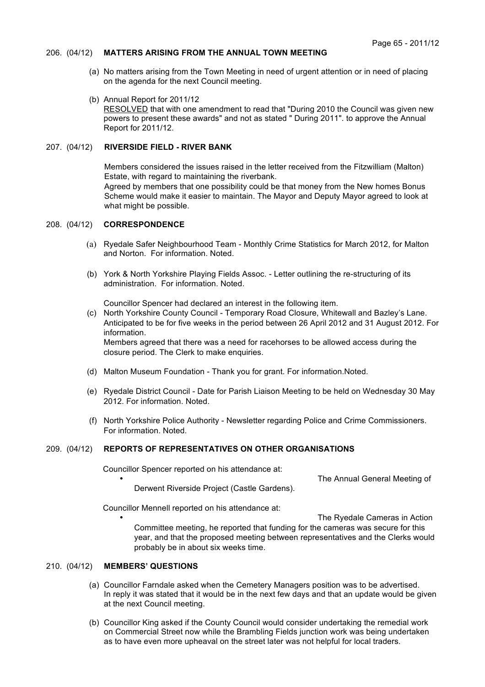#### 206. (04/12) **MATTERS ARISING FROM THE ANNUAL TOWN MEETING**

- (a) No matters arising from the Town Meeting in need of urgent attention or in need of placing on the agenda for the next Council meeting.
- (b) Annual Report for 2011/12 RESOLVED that with one amendment to read that "During 2010 the Council was given new powers to present these awards" and not as stated " During 2011". to approve the Annual Report for 2011/12.

#### 207. (04/12) **RIVERSIDE FIELD - RIVER BANK**

Members considered the issues raised in the letter received from the Fitzwilliam (Malton) Estate, with regard to maintaining the riverbank. Agreed by members that one possibility could be that money from the New homes Bonus Scheme would make it easier to maintain. The Mayor and Deputy Mayor agreed to look at what might be possible.

#### 208. (04/12) **CORRESPONDENCE**

- (a) Ryedale Safer Neighbourhood Team Monthly Crime Statistics for March 2012, for Malton and Norton. For information. Noted.
- (b) York & North Yorkshire Playing Fields Assoc. Letter outlining the re-structuring of its administration. For information. Noted.

Councillor Spencer had declared an interest in the following item.

 (c) North Yorkshire County Council - Temporary Road Closure, Whitewall and Bazley's Lane. Anticipated to be for five weeks in the period between 26 April 2012 and 31 August 2012. For information. Members agreed that there was a need for racehorses to be allowed access during the

closure period. The Clerk to make enquiries.

- (d) Malton Museum Foundation Thank you for grant. For information.Noted.
- (e) Ryedale District Council Date for Parish Liaison Meeting to be held on Wednesday 30 May 2012. For information. Noted.
- (f) North Yorkshire Police Authority Newsletter regarding Police and Crime Commissioners. For information. Noted.

### 209. (04/12) **REPORTS OF REPRESENTATIVES ON OTHER ORGANISATIONS**

Councillor Spencer reported on his attendance at:

The Annual General Meeting of

Derwent Riverside Project (Castle Gardens).

Councillor Mennell reported on his attendance at:

The Ryedale Cameras in Action Committee meeting, he reported that funding for the cameras was secure for this year, and that the proposed meeting between representatives and the Clerks would probably be in about six weeks time.

#### 210. (04/12) **MEMBERS' QUESTIONS**

- (a) Councillor Farndale asked when the Cemetery Managers position was to be advertised. In reply it was stated that it would be in the next few days and that an update would be given at the next Council meeting.
- (b) Councillor King asked if the County Council would consider undertaking the remedial work on Commercial Street now while the Brambling Fields junction work was being undertaken as to have even more upheaval on the street later was not helpful for local traders.